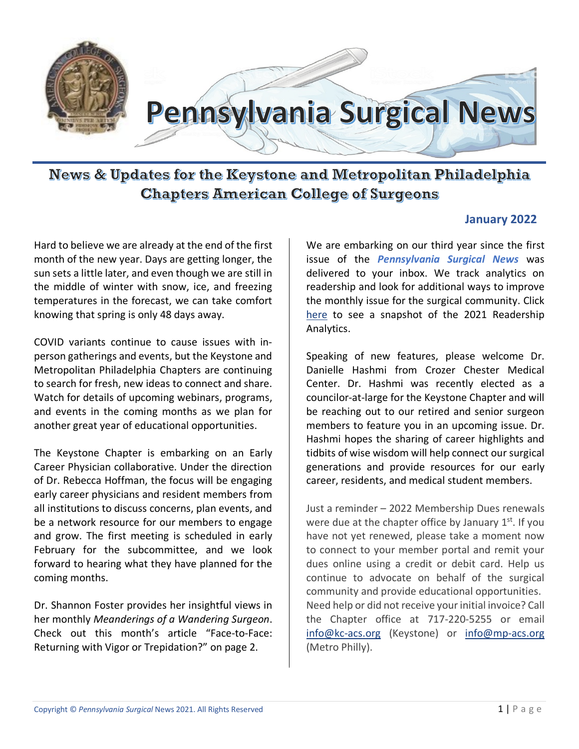

News & Updates for the Keystone and Metropolitan Philadelphia **Chapters American College of Surgeons** 

#### **January 2022**

Hard to believe we are already at the end of the first month of the new year. Days are getting longer, the sun sets a little later, and even though we are still in the middle of winter with snow, ice, and freezing temperatures in the forecast, we can take comfort knowing that spring is only 48 days away.

COVID variants continue to cause issues with inperson gatherings and events, but the Keystone and Metropolitan Philadelphia Chapters are continuing to search for fresh, new ideas to connect and share. Watch for details of upcoming webinars, programs, and events in the coming months as we plan for another great year of educational opportunities.

The Keystone Chapter is embarking on an Early Career Physician collaborative. Under the direction of Dr. Rebecca Hoffman, the focus will be engaging early career physicians and resident members from all institutions to discuss concerns, plan events, and be a network resource for our members to engage and grow. The first meeting is scheduled in early February for the subcommittee, and we look forward to hearing what they have planned for the coming months.

Dr. Shannon Foster provides her insightful views in her monthly *Meanderings of a Wandering Surgeon*. Check out this month's article "Face-to-Face: Returning with Vigor or Trepidation?" on page 2.

We are embarking on our third year since the first issue of the *Pennsylvania Surgical News* was delivered to your inbox. We track analytics on readership and look for additional ways to improve the monthly issue for the surgical community. Click here to see a snapshot of the 2021 Readership Analytics.

Speaking of new features, please welcome Dr. Danielle Hashmi from Crozer Chester Medical Center. Dr. Hashmi was recently elected as a councilor-at-large for the Keystone Chapter and will be reaching out to our retired and senior surgeon members to feature you in an upcoming issue. Dr. Hashmi hopes the sharing of career highlights and tidbits of wise wisdom will help connect our surgical generations and provide resources for our early career, residents, and medical student members.

Just a reminder – 2022 Membership Dues renewals were due at the chapter office by January  $1<sup>st</sup>$ . If you have not yet renewed, please take a moment now to connect to your member portal and remit your dues online using a credit or debit card. Help us continue to advocate on behalf of the surgical community and provide educational opportunities. Need help or did not receive your initial invoice? Call the Chapter office at 717-220-5255 or email [info@kc-acs.org](mailto:info@kc-acs.org) (Keystone) or [info@mp-acs.org](mailto:info@mp-acs.org) (Metro Philly).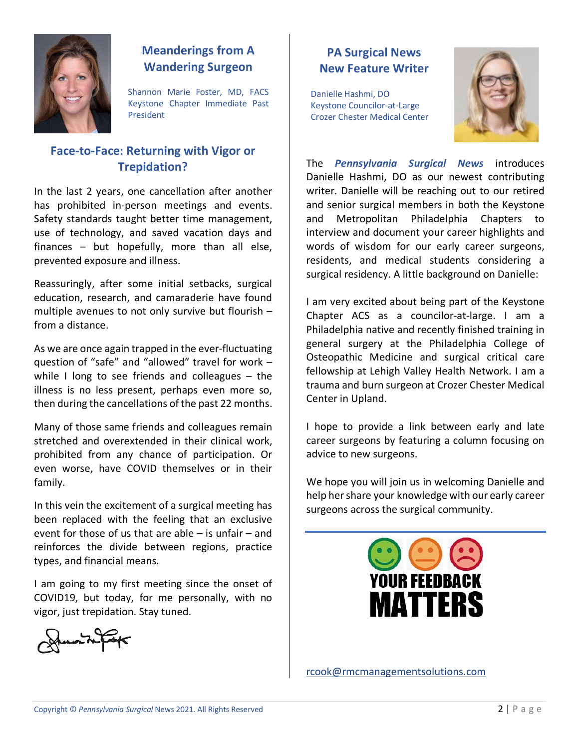

## **Meanderings from A Wandering Surgeon**

Shannon Marie Foster, MD, FACS Keystone Chapter Immediate Past President

#### **Face-to-Face: Returning with Vigor or Trepidation?**

In the last 2 years, one cancellation after another has prohibited in-person meetings and events. Safety standards taught better time management, use of technology, and saved vacation days and finances – but hopefully, more than all else, prevented exposure and illness.

Reassuringly, after some initial setbacks, surgical education, research, and camaraderie have found multiple avenues to not only survive but flourish – from a distance.

As we are once again trapped in the ever-fluctuating question of "safe" and "allowed" travel for work – while I long to see friends and colleagues – the illness is no less present, perhaps even more so, then during the cancellations of the past 22 months.

Many of those same friends and colleagues remain stretched and overextended in their clinical work, prohibited from any chance of participation. Or even worse, have COVID themselves or in their family.

In this vein the excitement of a surgical meeting has been replaced with the feeling that an exclusive event for those of us that are able – is unfair – and reinforces the divide between regions, practice types, and financial means.

I am going to my first meeting since the onset of COVID19, but today, for me personally, with no vigor, just trepidation. Stay tuned.



# **PA Surgical News New Feature Writer**

Danielle Hashmi, DO Keystone Councilor-at-Large Crozer Chester Medical Center



The *Pennsylvania Surgical News* introduces Danielle Hashmi, DO as our newest contributing writer. Danielle will be reaching out to our retired and senior surgical members in both the Keystone and Metropolitan Philadelphia Chapters to interview and document your career highlights and words of wisdom for our early career surgeons, residents, and medical students considering a surgical residency. A little background on Danielle:

I am very excited about being part of the Keystone Chapter ACS as a councilor-at-large. I am a Philadelphia native and recently finished training in general surgery at the Philadelphia College of Osteopathic Medicine and surgical critical care fellowship at Lehigh Valley Health Network. I am a trauma and burn surgeon at Crozer Chester Medical Center in Upland.

I hope to provide a link between early and late career surgeons by featuring a column focusing on advice to new surgeons.

We hope you will join us in welcoming Danielle and help her share your knowledge with our early career surgeons across the surgical community.



[rcook@rmcmanagementsolutions.com](mailto:rcook@rmcmanagementsolutions.com)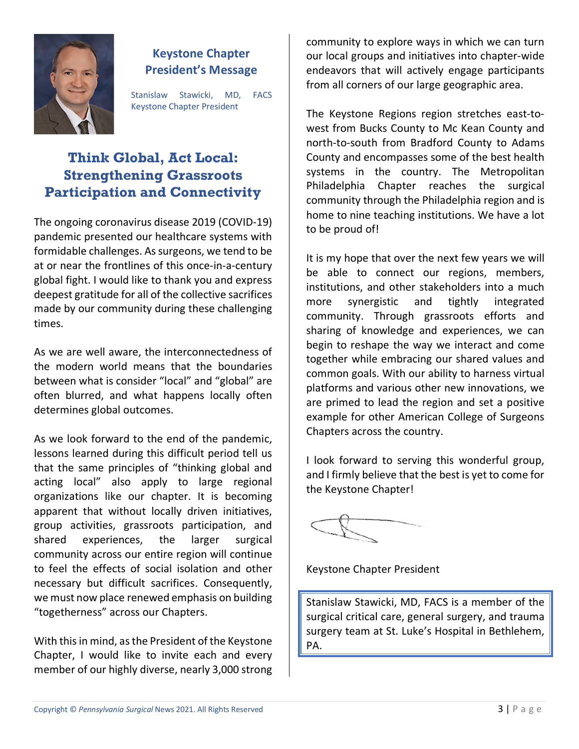

#### **Keystone Chapter President's Message**

Stanislaw Stawicki, MD, FACS Keystone Chapter President

# **Think Global, Act Local: Strengthening Grassroots Participation and Connectivity**

The ongoing coronavirus disease 2019 (COVID-19) pandemic presented our healthcare systems with formidable challenges. As surgeons, we tend to be at or near the frontlines of this once-in-a-century global fight. I would like to thank you and express deepest gratitude for all of the collective sacrifices made by our community during these challenging times.

As we are well aware, the interconnectedness of the modern world means that the boundaries between what is consider "local" and "global" are often blurred, and what happens locally often determines global outcomes.

As we look forward to the end of the pandemic, lessons learned during this difficult period tell us that the same principles of "thinking global and acting local" also apply to large regional organizations like our chapter. It is becoming apparent that without locally driven initiatives, group activities, grassroots participation, and shared experiences, the larger surgical community across our entire region will continue to feel the effects of social isolation and other necessary but difficult sacrifices. Consequently, we must now place renewed emphasis on building "togetherness" across our Chapters.

With this in mind, as the President of the Keystone Chapter, I would like to invite each and every member of our highly diverse, nearly 3,000 strong

community to explore ways in which we can turn our local groups and initiatives into chapter-wide endeavors that will actively engage participants from all corners of our large geographic area.

The Keystone Regions region stretches east-towest from Bucks County to Mc Kean County and north-to-south from Bradford County to Adams County and encompasses some of the best health systems in the country. The Metropolitan Philadelphia Chapter reaches the surgical community through the Philadelphia region and is home to nine teaching institutions. We have a lot to be proud of!

It is my hope that over the next few years we will be able to connect our regions, members, institutions, and other stakeholders into a much more synergistic and tightly integrated community. Through grassroots efforts and sharing of knowledge and experiences, we can begin to reshape the way we interact and come together while embracing our shared values and common goals. With our ability to harness virtual platforms and various other new innovations, we are primed to lead the region and set a positive example for other American College of Surgeons Chapters across the country.

I look forward to serving this wonderful group, and I firmly believe that the best is yet to come for the Keystone Chapter!

Keystone Chapter President

Stanislaw Stawicki, MD, FACS is a member of the surgical critical care, general surgery, and trauma surgery team at St. Luke's Hospital in Bethlehem, PA.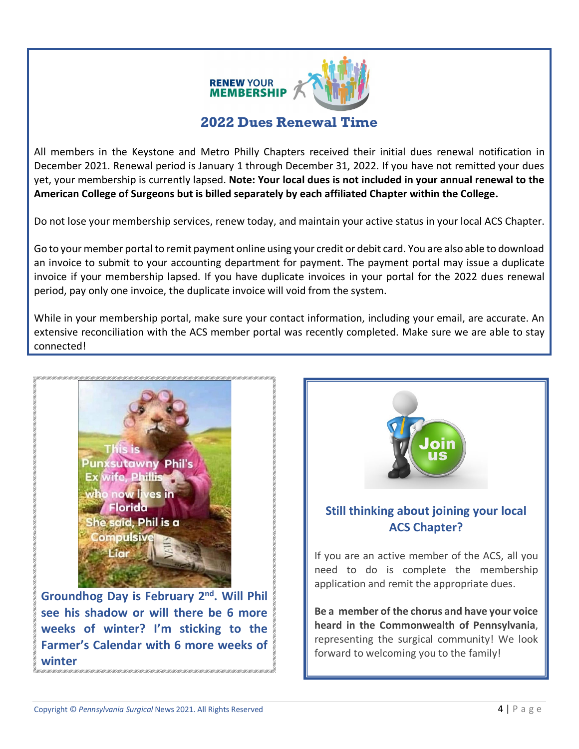

# **2022 Dues Renewal Time**

All members in the Keystone and Metro Philly Chapters received their initial dues renewal notification in December 2021. Renewal period is January 1 through December 31, 2022. If you have not remitted your dues yet, your membership is currently lapsed. **Note: Your local dues is not included in your annual renewal to the American College of Surgeons but is billed separately by each affiliated Chapter within the College.**

Do not lose your membership services, renew today, and maintain your active status in your local ACS Chapter.

Go to your member portal to remit payment online using your credit or debit card. You are also able to download an invoice to submit to your accounting department for payment. The payment portal may issue a duplicate invoice if your membership lapsed. If you have duplicate invoices in your portal for the 2022 dues renewal period, pay only one invoice, the duplicate invoice will void from the system.

While in your membership portal, make sure your contact information, including your email, are accurate. An extensive reconciliation with the ACS member portal was recently completed. Make sure we are able to stay connected!



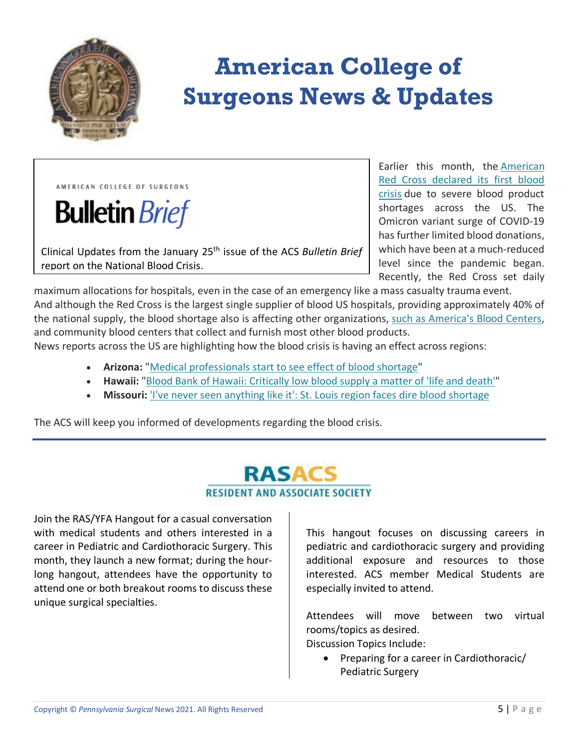

# **American College of Surgeons News & Updates**

AMERICAN COLLEGE OF SURGEONS

**Bulletin** Brief

Clinical Updates from the January 25th issue of the ACS *Bulletin Brief* report on the National Blood Crisis.

Earlier this month, the [American](https://www.redcross.org/about-us/news-and-events/press-release/2022/blood-donors-needed-now-as-omicron-intensifies.html)  [Red Cross declared its first blood](https://www.redcross.org/about-us/news-and-events/press-release/2022/blood-donors-needed-now-as-omicron-intensifies.html)  [crisis](https://www.redcross.org/about-us/news-and-events/press-release/2022/blood-donors-needed-now-as-omicron-intensifies.html) due to severe blood product shortages across the US. The Omicron variant surge of COVID-19 has further limited blood donations, which have been at a much-reduced level since the pandemic began. Recently, the Red Cross set daily

maximum allocations for hospitals, even in the case of an emergency like a mass casualty trauma event. And although the Red Cross is the largest single supplier of blood US hospitals, providing approximately 40% of the national supply, the blood shortage also is affecting other organizations, [such as America's Blood Centers,](https://americasblood.org/for-donors/americas-blood-supply/) and community blood centers that collect and furnish most other blood products.

News reports across the US are highlighting how the blood crisis is having an effect across regions:

- **Arizona:** ["Medical professionals start to see effect of blood shortage"](https://www.kold.com/2022/01/20/doctors-are-being-forced-make-difficult-decisions/)
- **Hawaii:** ["Blood Bank of Hawaii: Critically low blood supply a matter of 'life and death'"](https://www.hawaiinewsnow.com/2022/01/22/blood-bank-hawaii-critically-low-shortage-blood-matter-life-death/)
- Missouri: ['I've never seen anything like it': St. Louis region faces dire blood shortage](https://www.stltoday.com/news/local/metro/i-ve-never-seen-anything-like-it-st-louis-region-faces-dire-blood-shortage/article_46a7ea9c-ad3b-512e-9b2b-de8717d1d7e1.html)

The ACS will keep you informed of developments regarding the blood crisis.

# **RASACS RESIDENT AND ASSOCIATE SOCIETY**

Join the RAS/YFA Hangout for a casual conversation with medical students and others interested in a career in Pediatric and Cardiothoracic Surgery. This month, they launch a new format; during the hourlong hangout, attendees have the opportunity to attend one or both breakout rooms to discuss these unique surgical specialties.

This hangout focuses on discussing careers in pediatric and cardiothoracic surgery and providing additional exposure and resources to those interested. ACS member Medical Students are especially invited to attend.

Attendees will move between two virtual rooms/topics as desired.

Discussion Topics Include:

• Preparing for a career in Cardiothoracic/ Pediatric Surgery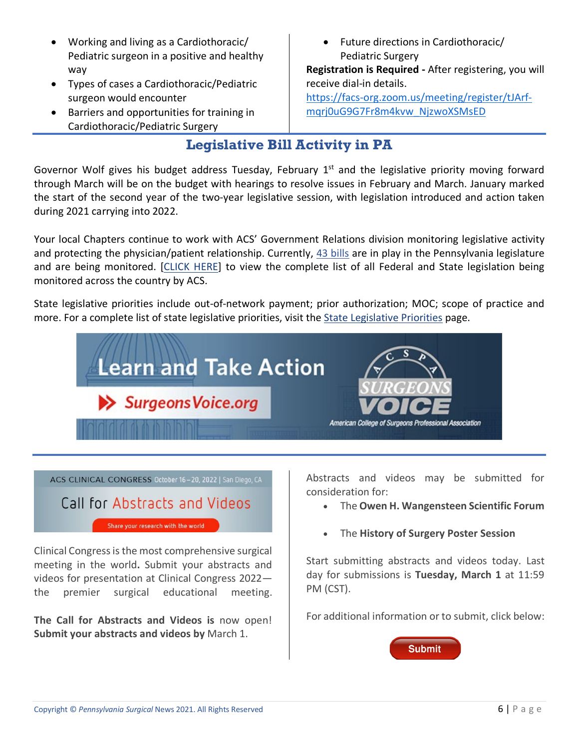- Working and living as a Cardiothoracic/ Pediatric surgeon in a positive and healthy way
- Types of cases a Cardiothoracic/Pediatric surgeon would encounter
- Barriers and opportunities for training in Cardiothoracic/Pediatric Surgery

• Future directions in Cardiothoracic/ Pediatric Surgery

**Registration is Required -** After registering, you will receive dial-in details.

[https://facs-org.zoom.us/meeting/register/tJArf](https://facs-org.zoom.us/meeting/register/tJArf-mqrj0uG9G7Fr8m4kvw_NjzwoXSMsED)[mqrj0uG9G7Fr8m4kvw\\_NjzwoXSMsED](https://facs-org.zoom.us/meeting/register/tJArf-mqrj0uG9G7Fr8m4kvw_NjzwoXSMsED)

# **Legislative Bill Activity in PA**

Governor Wolf gives his budget address Tuesday, February  $1<sup>st</sup>$  and the legislative priority moving forward through March will be on the budget with hearings to resolve issues in February and March. January marked the start of the second year of the two-year legislative session, with legislation introduced and action taken during 2021 carrying into 2022.

Your local Chapters continue to work with ACS' Government Relations division monitoring legislative activity and protecting the physician/patient relationship. Currently, [43 bills](https://www.quorum.us/spreadsheet/external/gxFymLFqv9eUT2M4IMXt/) are in play in the Pennsylvania legislature and are being monitored. [\[CLICK HERE\]](https://www.quorum.us/spreadsheet/external/gxFymLFqv9eUT2M4IMXt/) to view the complete list of all Federal and State legislation being monitored across the country by ACS.

State legislative priorities include out-of-network payment; prior authorization; MOC; scope of practice and more. For a complete list of state legislative priorities, visit the [State Legislative Priorities](https://www.facs.org/advocacy/state/trends) page.



ACS CLINICAL CONGRESS October 16-20, 2022 | San Diego, CA

# Call for Abstracts and Videos

Share your research with the world

Clinical Congress is the most comprehensive surgical meeting in the world**.** Submit your abstracts and videos for presentation at Clinical Congress 2022 the premier surgical educational meeting.

**The Call for Abstracts and Videos is** now open! **Submit your abstracts and videos by** March 1.

Abstracts and videos may be submitted for consideration for:

- The **Owen H. Wangensteen Scientific Forum**
- The **History of Surgery Poster Session**

Start submitting abstracts and videos today. Last day for submissions is **Tuesday, March 1** at 11:59 PM (CST).

For additional information or to submit, click below:

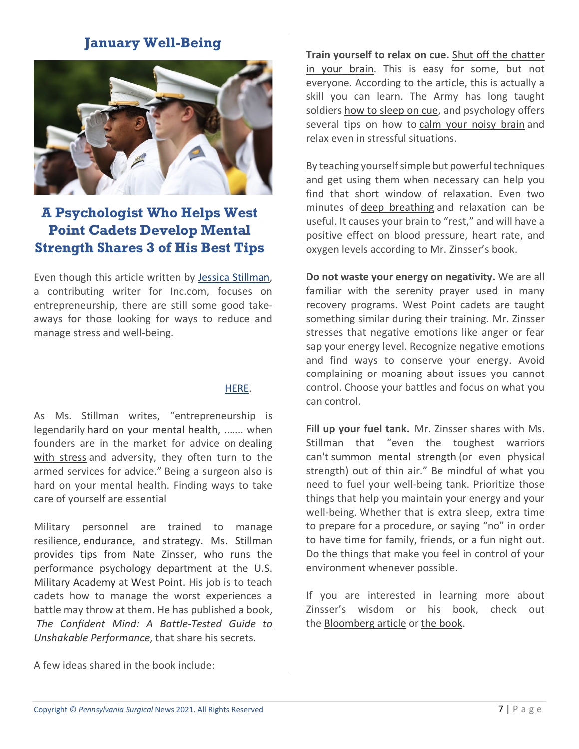## **January Well-Being**



# **A Psychologist Who Helps West Point Cadets Develop Mental Strength Shares 3 of His Best Tips**

Even though this article written by [Jessica Stillman,](https://www.inc.com/author/jessica-stillman) a contributing writer for Inc.com, focuses on entrepreneurship, there are still some good takeaways for those looking for ways to reduce and manage stress and well-being.

#### [HERE.](https://www.inc.com/jessica-stillman/mental-strength-military-army-west-point.html?utm_source=ChadHarvey.com&utm_campaign=0050697432-RSS_EMAIL_CAMPAIGN&utm_medium=email&utm_term=0_9d3979ad46-0050697432-363608745)

As Ms. Stillman writes, "entrepreneurship is legendarily [hard on your mental health,](https://www.inc.com/magazine/201309/jessica-bruder/psychological-price-of-entrepreneurship.html) ..….. when founders are in the market for advice on [dealing](https://www.inc.com/jessica-stillman/make-stress-your-friend.html)  [with stress](https://www.inc.com/jessica-stillman/make-stress-your-friend.html) and adversity, they often turn to the armed services for advice." Being a surgeon also is hard on your mental health. Finding ways to take care of yourself are essential

Military personnel are trained to manage resilience, [endurance,](https://www.inc.com/jessica-stillman/navy-seals-secret-of-exceptional-endurance.html) and [strategy.](https://www.inc.com/jessica-stillman/navy-seals-use-this-7-step-process-to-achieve-any-goal-you-can-too.html) Ms. Stillman provides tips from Nate Zinsser, who runs the performance psychology department at the U.S. Military Academy at West Point. His job is to teach cadets how to manage the worst experiences a battle may throw at them. He has published a book, *[The Confident Mind: A Battle-Tested Guide to](https://www.amazon.com/gp/product/0063014831/ref=as_li_tl?ie=UTF8&%3Bcamp=1789&%3Bcreative=9325&%3BcreativeASIN=0063014831&%3BlinkCode=as2&%3Btag=inccom05-20&%3BlinkId=32b0ecf753a8260240f0f58586c10012&tag=wwwinccom-20)  [Unshakable Performance](https://www.amazon.com/gp/product/0063014831/ref=as_li_tl?ie=UTF8&%3Bcamp=1789&%3Bcreative=9325&%3BcreativeASIN=0063014831&%3BlinkCode=as2&%3Btag=inccom05-20&%3BlinkId=32b0ecf753a8260240f0f58586c10012&tag=wwwinccom-20)*, that share his secrets.

A few ideas shared in the book include:

**Train yourself to relax on cue.** [Shut off the chatter](https://www.inc.com/jessica-stillman/ethan-kross-chatter-distanced-self-talk.html)  [in your brain.](https://www.inc.com/jessica-stillman/ethan-kross-chatter-distanced-self-talk.html) This is easy for some, but not everyone. According to the article, this is actually a skill you can learn. The Army has long taught soldiers [how to sleep on cue,](https://www.inc.com/jessica-stillman/the-trick-soldiers-use-to-fall-asleep-in-minutes-in-even-most-uncomfortable-situations.html) and psychology offers several tips on how to [calm your noisy brain](https://www.inc.com/jessica-stillman/sleep-technique-andrew-weil-university-arizona.html) and relax even in stressful situations.

By teaching yourself simple but powerful techniques and get using them when necessary can help you find that short window of relaxation. Even two minutes of [deep breathing](https://www.inc.com/jessica-stillman/health-breathing-james-nestor.html) and relaxation can be useful. It causes your brain to "rest," and will have a positive effect on blood pressure, heart rate, and oxygen levels according to Mr. Zinsser's book.

**Do not waste your energy on negativity.** We are all familiar with the serenity prayer used in many recovery programs. West Point cadets are taught something similar during their training. Mr. Zinsser stresses that negative emotions like anger or fear sap your energy level. Recognize negative emotions and find ways to conserve your energy. Avoid complaining or moaning about issues you cannot control. Choose your battles and focus on what you can control.

**Fill up your fuel tank.** Mr. Zinsser shares with Ms. Stillman that "even the toughest warriors can't [summon mental strength](https://www.inc.com/jessica-stillman/a-navy-seal-s-secret-for-pushing-yourself-way-beyond-your-supposed-limits.html) (or even physical strength) out of thin air." Be mindful of what you need to fuel your well-being tank. Prioritize those things that help you maintain your energy and your well-being. Whether that is extra sleep, extra time to prepare for a procedure, or saying "no" in order to have time for family, friends, or a fun night out. Do the things that make you feel in control of your environment whenever possible.

If you are interested in learning more about Zinsser's wisdom or his book, check out the [Bloomberg article](https://www.bloomberg.com/news/articles/2021-11-29/small-business-performance-psychology-tips-from-west-point-s-dr-nate-zinsser?cmpid=BBD112921_CUS&utm_medium=email&utm_source=newsletter&utm_term=211129&utm_campaign=closeamericas) or [the book.](https://www.amazon.com/gp/product/0063014831/ref=as_li_tl?ie=UTF8&%3Bcamp=1789&%3Bcreative=9325&%3BcreativeASIN=0063014831&%3BlinkCode=as2&%3Btag=inccom05-20&%3BlinkId=32b0ecf753a8260240f0f58586c10012&tag=wwwinccom-20)